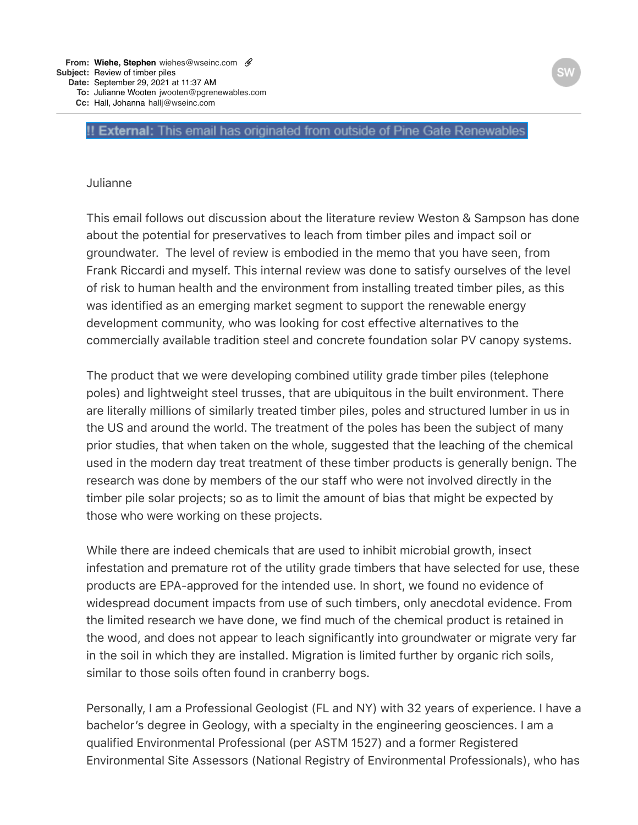## !! External: This email has originated from outside of Pine Gate Renewables

## **Julianne**

This email follows out discussion about the literature review Weston & Sampson has done about the potential for preservatives to leach from timber piles and impact soil or groundwater. The level of review is embodied in the memo that you have seen, from Frank Riccardi and myself. This internal review was done to satisfy ourselves of the level of risk to human health and the environment from installing treated timber piles, as this was identified as an emerging market segment to support the renewable energy development community, who was looking for cost effective alternatives to the commercially available tradition steel and concrete foundation solar PV canopy systems.

The product that we were developing combined utility grade timber piles (telephone poles) and lightweight steel trusses, that are ubiquitous in the built environment. There are literally millions of similarly treated timber piles, poles and structured lumber in us in the US and around the world. The treatment of the poles has been the subject of many prior studies, that when taken on the whole, suggested that the leaching of the chemical used in the modern day treat treatment of these timber products is generally benign. The research was done by members of the our staff who were not involved directly in the timber pile solar projects; so as to limit the amount of bias that might be expected by those who were working on these projects.

While there are indeed chemicals that are used to inhibit microbial growth, insect infestation and premature rot of the utility grade timbers that have selected for use, these products are EPA-approved for the intended use. In short, we found no evidence of widespread document impacts from use of such timbers, only anecdotal evidence. From the limited research we have done, we find much of the chemical product is retained in the wood, and does not appear to leach significantly into groundwater or migrate very far in the soil in which they are installed. Migration is limited further by organic rich soils, similar to those soils often found in cranberry bogs.

Personally, I am a Professional Geologist (FL and NY) with 32 years of experience. I have a bachelor's degree in Geology, with a specialty in the engineering geosciences. I am a qualified Environmental Professional (per ASTM 1527) and a former Registered Environmental Site Assessors (National Registry of Environmental Professionals), who has